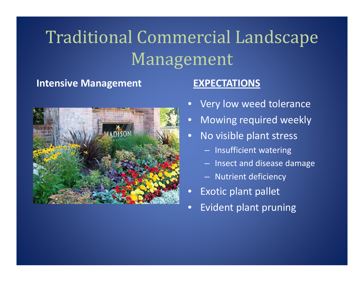#### **Intensive Mana**



#### **gement EXPECTATIONS**

- $\bullet$ Very low weed tolerance
- $\bullet$ Mowing required weekly
- $\bullet$ • No visible plant stress
	- Insufficient watering
	- Insect and disease damage
	- Nutrient deficiency
- $\bullet$ • Exotic plant pallet
- $\bullet$ Evident plant pruning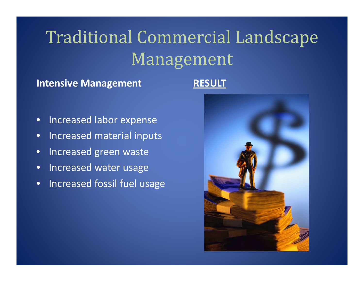#### **Intensive Mana gement RESULT**

- $\bullet$ **•** Increased labor expense
- •**•** Increased material inputs
- •• Increased green waste
- •• Increased water usage
- •**•** Increased fossil fuel usage

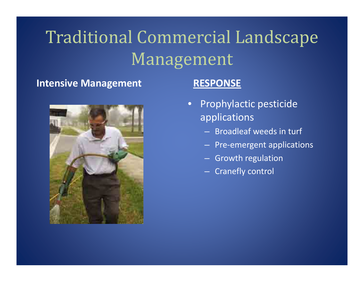#### **Intensive Mana**



#### **RESPONSE**

- Prophylactic pesticide applications
	- Broadleaf weeds in turf
	- Pre ‐emergent applications
	- Growth regulation
	- Cranefly control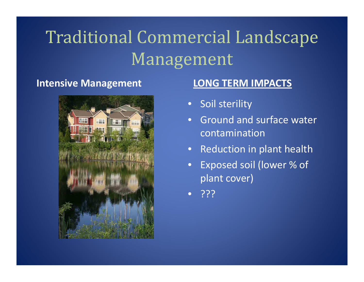#### **Intensive Mana**



### **gement LONG TERM IMPACTS**

- Soil sterility
- •**•** Ground and surface water contamination
- Reduction in plant health
- • Exposed soil (lower % of plant cover)
- ???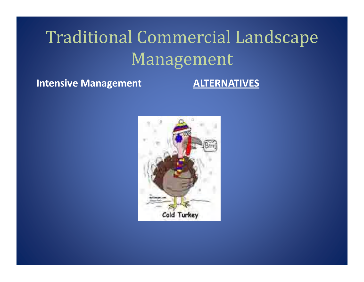**Intensive Mana**

#### **gement ALTERNATIVES**

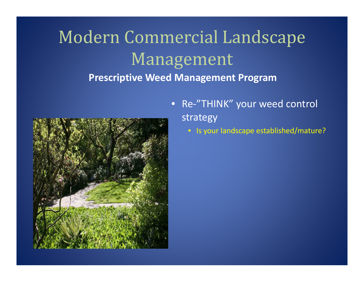

- Re ‐"THINK" your weed control strategy
	- Is your landscape established/mature?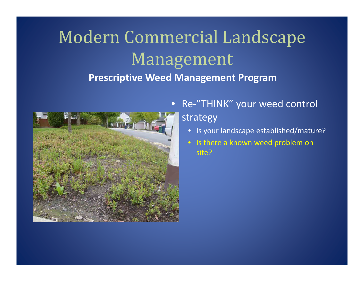

• Re ‐"THINK" your weed control strategy

- Is your landscape established/mature?
- Is there a known weed problem on site?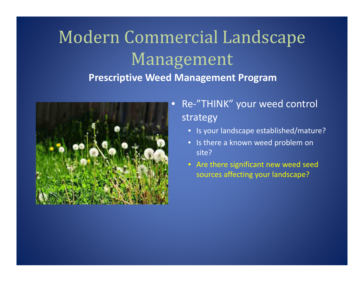

### • Re ‐"THINK" your weed control strategy

- Is your landscape established/mature?
- Is there a known weed problem on site?
- Are there significant new weed seed sources affecting your landscape?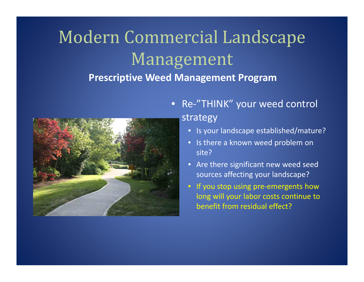

• Re ‐"THINK" your weed control strategy

- Is your landscape established/mature?
- Is there a known weed problem on site?
- Are there significant new weed seed sources affecting your landscape?
- If you stop using pre‐emergents how long will your labor costs continue to benefit from residual effect?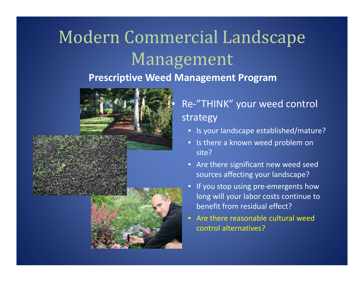

### • Re-"THINK" your weed control strategy

- Is your landscape established/mature?
- Is there a known weed problem on site?
- Are there significant new weed seed sources affecting your landscape?
- •If you stop using pre-emergents how long will your labor costs continue to benefit from residual effect?
- Are there reasonable cultural weedcontrol alternatives?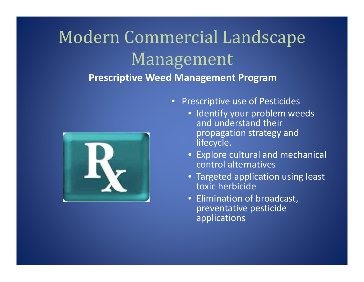# Modern Commercial Landscape Management

### **Prescriptive Weed Management Program**



- Prescriptive use of Pesticides
	- Identify your problem weeds and understand their propagation strategy and lifecycle.
	- Ex plore cultural and mechanical control alternatives
	- Targeted application using least toxic herbicide
	- Elimination of broadcast, preventative pesticide applications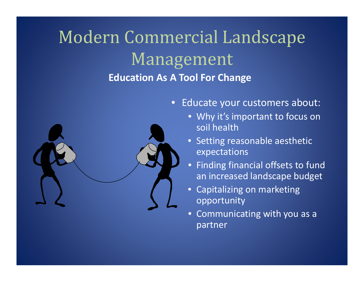### Modern Commercial Landscape Management **Education As A Tool For Change**



- Educate your customers about:
	- Why it's important to focus on soil health
	- Setting reasonable aesthetic expectations
	- Finding financial offsets to fund an increased landscape budget
	- Capitalizing on marketing opportunity
	- $\bullet$ • Communicating with you as a partner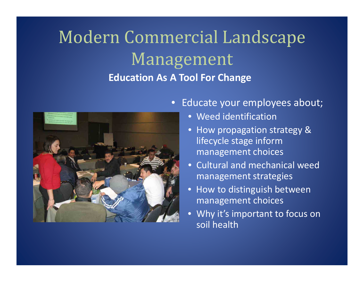## Modern Commercial Landscape Management **Education As A Tool For Change**



- Educate your employees about;
	- Weed identification
	- How propagation strategy & lifecycle stage inform management choices
	- Cultural and mechanical weed management strategies
	- How to distin guish between management choices
	- Why it's important to focus on soil health